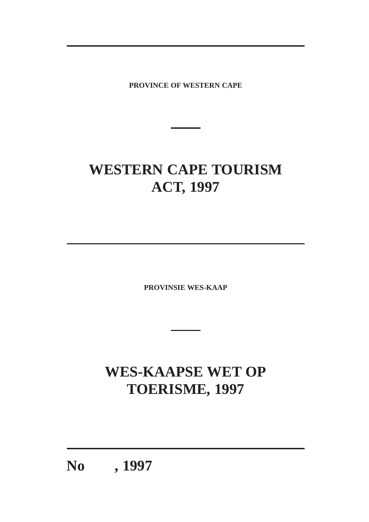**PROVINCE OF WESTERN CAPE**

# **WESTERN CAPE TOURISM ACT, 1997**

**PROVINSIE WES-KAAP**

# **WES-KAAPSE WET OP TOERISME, 1997**

**No , 1997**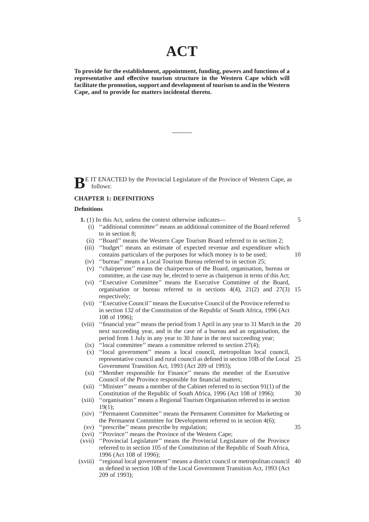# **ACT**

**To provide for the establishment, appointment, funding, powers and functions of a representative and effective tourism structure in the Western Cape which will facilitate the promotion, support and development of tourism to and in the Western Cape, and to provide for matters incidental thereto.**

**B**E IT ENACTED by the Provincial Legislature of the Province of Western Cape, as follows:

#### **CHAPTER 1: DEFINITIONS**

#### **Definitions**

- **1.** (1) In this Act, unless the context otherwise indicates—
	- (i) ''additional committee'' means an additional committee of the Board referred to in section 8;
	- (ii) ''Board'' means the Western Cape Tourism Board referred to in section 2;
- (iii) ''budget'' means an estimate of expected revenue and expenditure which contains particulars of the purposes for which money is to be used; 10
- (iv) ''bureau'' means a Local Tourism Bureau referred to in section 25;
- (v) ''chairperson'' means the chairperson of the Board, organisation, bureau or committee, as the case may be, elected to serve as chairperson in terms of this Act;
- (vi) ''Executive Committee'' means the Executive Committee of the Board, organisation or bureau referred to in sections 4(4), 21(2) and 27(3) 15 respectively;
- (vii) ''Executive Council'' means the Executive Council of the Province referred to in section 132 of the Constitution of the Republic of South Africa, 1996 (Act 108 of 1996);
- (viii) ''financial year'' means the period from 1 April in any year to 31 March in the 20 next succeeding year, and in the case of a bureau and an organisation, the period from 1 July in any year to 30 June in the next succeeding year;
- (ix) ''local committee'' means a committee referred to section 27(4);
- (x) ''local government'' means a local council, metropolitan local council, representative council and rural council as defined in section 10B of the Local 25 Government Transition Act, 1993 (Act 209 of 1993);
- (xi) ''Member responsible for Finance'' means the member of the Executive Council of the Province responsible for financial matters;
- (xii) ''Minister'' means a member of the Cabinet referred to in section 91(1) of the Constitution of the Republic of South Africa, 1996 (Act 108 of 1996);
- (xiii) ''organisation'' means a Regional Tourism Organisation referred to in section 19(1);
- (xiv) ''Permanent Committee'' means the Permanent Committee for Marketing or the Permanent Committee for Development referred to in section 4(6);
- (xv) ''prescribe'' means prescribe by regulation;

35

30

- (xvi) ''Province'' means the Province of the Western Cape;
- (xvii) ''Provincial Legislature'' means the Provincial Legislature of the Province referred to in section 105 of the Constitution of the Republic of South Africa, 1996 (Act 108 of 1996);
- (xviii) ''regional local government'' means a district council or metropolitan council 40as defined in section 10B of the Local Government Transition Act, 1993 (Act 209 of 1993);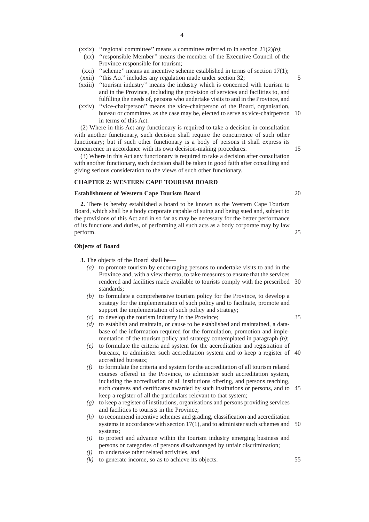- (xxix) ''regional committee'' means a committee referred to in section 21(2)*(b)*;
	- (xx) ''responsible Member'' means the member of the Executive Council of the Province responsible for tourism;
- (xxi) ''scheme'' means an incentive scheme established in terms of section 17(1);

- (xxiii) ''tourism industry'' means the industry which is concerned with tourism to and in the Province, including the provision of services and facilities to, and fulfilling the needs of, persons who undertake visits to and in the Province, and
- (xxiv) ''vice-chairperson'' means the vice-chairperson of the Board, organisation, bureau or committee, as the case may be, elected to serve as vice-chairperson 10 in terms of this Act.

(2) Where in this Act any functionary is required to take a decision in consultation with another functionary, such decision shall require the concurrence of such other functionary; but if such other functionary is a body of persons it shall express its concurrence in accordance with its own decision-making procedures.

(3) Where in this Act any functionary is required to take a decision after consultation with another functionary, such decision shall be taken in good faith after consulting and giving serious consideration to the views of such other functionary.

#### **CHAPTER 2: WESTERN CAPE TOURISM BOARD**

# **Establishment of Western Cape Tourism Board**

**2.** There is hereby established a board to be known as the Western Cape Tourism Board, which shall be a body corporate capable of suing and being sued and, subject to the provisions of this Act and in so far as may be necessary for the better performance of its functions and duties, of performing all such acts as a body corporate may by law perform.

#### **Objects of Board**

**3.** The objects of the Board shall be—

- *(a)* to promote tourism by encouraging persons to undertake visits to and in the Province and, with a view thereto, to take measures to ensure that the services rendered and facilities made available to tourists comply with the prescribed 30 standards;
- *(b)* to formulate a comprehensive tourism policy for the Province, to develop a strategy for the implementation of such policy and to facilitate, promote and support the implementation of such policy and strategy;
- *(c)* to develop the tourism industry in the Province;
- *(d)* to establish and maintain, or cause to be established and maintained, a database of the information required for the formulation, promotion and implementation of the tourism policy and strategy contemplated in paragraph *(b)*;
- *(e)* to formulate the criteria and system for the accreditation and registration of bureaux, to administer such accreditation system and to keep a register of 40 accredited bureaux;
- *(f)* to formulate the criteria and system for the accreditation of all tourism related courses offered in the Province, to administer such accreditation system, including the accreditation of all institutions offering, and persons teaching, such courses and certificates awarded by such institutions or persons, and to 45 keep a register of all the particulars relevant to that system;
- *(g)* to keep a register of institutions, organisations and persons providing services and facilities to tourists in the Province;
- *(h)* to recommend incentive schemes and grading, classification and accreditation systems in accordance with section 17(1), and to administer such schemes and 50 systems;
- *(i)* to protect and advance within the tourism industry emerging business and persons or categories of persons disadvantaged by unfair discrimination;
- *(j)* to undertake other related activities, and
- *(k)* to generate income, so as to achieve its objects.

20

25

35

15

<sup>(</sup>xxii) ''this Act'' includes any regulation made under section 32;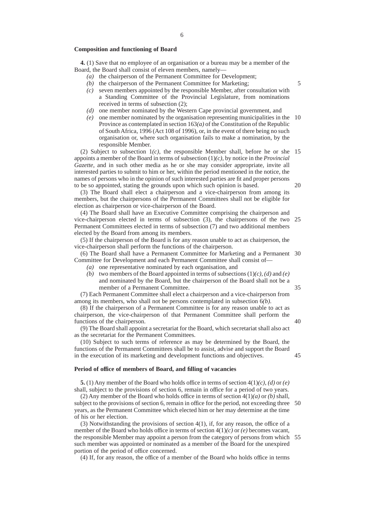#### **Composition and functioning of Board**

**4.** (1) Save that no employee of an organisation or a bureau may be a member of the Board, the Board shall consist of eleven members, namely—

- *(a)* the chairperson of the Permanent Committee for Development;
- *(b)* the chairperson of the Permanent Committee for Marketing;
- *(c)* seven members appointed by the responsible Member, after consultation with a Standing Committee of the Provincial Legislature, from nominations received in terms of subsection (2);
- *(d)* one member nominated by the Western Cape provincial government, and
- *(e)* one member nominated by the organisation representing municipalities in the 10 Province as contemplated in section 163*(a)* of the Constitution of the Republic of South Africa, 1996 (Act 108 of 1996), or, in the event of there being no such organisation or, where such organisation fails to make a nomination, by the responsible Member.

(2) Subject to subsection 1*(c)*, the responsible Member shall, before he or she 15 appoints a member of the Board in terms of subsection (1)*(c)*, by notice in the *Provincial Gazette*, and in such other media as he or she may consider appropriate, invite all interested parties to submit to him or her, within the period mentioned in the notice, the names of persons who in the opinion of such interested parties are fit and proper persons to be so appointed, stating the grounds upon which such opinion is based.

20

5

(3) The Board shall elect a chairperson and a vice-chairperson from among its members, but the chairpersons of the Permanent Committees shall not be eligible for election as chairperson or vice-chairperson of the Board.

(4) The Board shall have an Executive Committee comprising the chairperson and vice-chairperson elected in terms of subsection (3), the chairpersons of the two 25 Permanent Committees elected in terms of subsection (7) and two additional members elected by the Board from among its members.

(5) If the chairperson of the Board is for any reason unable to act as chairperson, the vice-chairperson shall perform the functions of the chairperson.

(6) The Board shall have a Permanent Committee for Marketing and a Permanent 30 Committee for Development and each Permanent Committee shall consist of—

*(a)* one representative nominated by each organisation, and

*(b)* two members of the Board appointed in terms of subsections (1)*(c)*, *(d)* and *(e)* and nominated by the Board, but the chairperson of the Board shall not be a member of a Permanent Committee.

(7) Each Permanent Committee shall elect a chairperson and a vice-chairperson from among its members, who shall not be persons contemplated in subsection 6*(b)*.

(8) If the chairperson of a Permanent Committee is for any reason unable to act as chairperson, the vice-chairperson of that Permanent Committee shall perform the functions of the chairperson.

(9) The Board shall appoint a secretariat for the Board, which secretariat shall also act as the secretariat for the Permanent Committees.

(10) Subject to such terms of reference as may be determined by the Board, the functions of the Permanent Committees shall be to assist, advise and support the Board in the execution of its marketing and development functions and objectives. 45

#### **Period of office of members of Board, and filling of vacancies**

**5.** (1) Any member of the Board who holds office in terms of section 4(1)*(c)*, *(d)* or *(e)* shall, subject to the provisions of section 6, remain in office for a period of two years.

(2) Any member of the Board who holds office in terms of section 4(1)*(a)* or *(b)* shall, subject to the provisions of section 6, remain in office for the period, not exceeding three 50 years, as the Permanent Committee which elected him or her may determine at the time of his or her election.

(3) Notwithstanding the provisions of section 4(1), if, for any reason, the office of a member of the Board who holds office in terms of section 4(1)*(c)* or *(e)* becomes vacant, the responsible Member may appoint a person from the category of persons from which 55such member was appointed or nominated as a member of the Board for the unexpired portion of the period of office concerned.

(4) If, for any reason, the office of a member of the Board who holds office in terms

35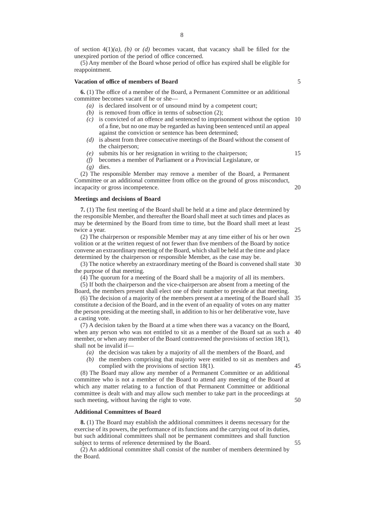(5) Any member of the Board whose period of office has expired shall be eligible for reappointment.

#### **Vacation of office of members of Board**

**6.** (1) The office of a member of the Board, a Permanent Committee or an additional committee becomes vacant if he or she—

- *(a)* is declared insolvent or of unsound mind by a competent court;
- *(b)* is removed from office in terms of subsection (2);
- *(c)* is convicted of an offence and sentenced to imprisonment without the option 10 of a fine, but no one may be regarded as having been sentenced until an appeal against the conviction or sentence has been determined;
- *(d)* is absent from three consecutive meetings of the Board without the consent of the chairperson;
- *(e)* submits his or her resignation in writing to the chairperson;
- 15

20

25

5

*(f)* becomes a member of Parliament or a Provincial Legislature, or *(g)* dies.

(2) The responsible Member may remove a member of the Board, a Permanent Committee or an additional committee from office on the ground of gross misconduct, incapacity or gross incompetence.

#### **Meetings and decisions of Board**

**7.** (1) The first meeting of the Board shall be held at a time and place determined by the responsible Member, and thereafter the Board shall meet at such times and places as may be determined by the Board from time to time, but the Board shall meet at least twice a year.

(2) The chairperson or responsible Member may at any time either of his or her own volition or at the written request of not fewer than five members of the Board by notice convene an extraordinary meeting of the Board, which shall be held at the time and place determined by the chairperson or responsible Member, as the case may be.

(3) The notice whereby an extraordinary meeting of the Board is convened shall state 30 the purpose of that meeting.

(4) The quorum for a meeting of the Board shall be a majority of all its members.

(5) If both the chairperson and the vice-chairperson are absent from a meeting of the Board, the members present shall elect one of their number to preside at that meeting.

(6) The decision of a majority of the members present at a meeting of the Board shall constitute a decision of the Board, and in the event of an equality of votes on any matter the person presiding at the meeting shall, in addition to his or her deliberative vote, have a casting vote. 35

(7) A decision taken by the Board at a time when there was a vacancy on the Board, when any person who was not entitled to sit as a member of the Board sat as such a 40 member, or when any member of the Board contravened the provisions of section 18(1), shall not be invalid if—

- *(a)* the decision was taken by a majority of all the members of the Board, and
- *(b)* the members comprising that majority were entitled to sit as members and complied with the provisions of section 18(1).

(8) The Board may allow any member of a Permanent Committee or an additional committee who is not a member of the Board to attend any meeting of the Board at which any matter relating to a function of that Permanent Committee or additional committee is dealt with and may allow such member to take part in the proceedings at such meeting, without having the right to vote.

#### **Additional Committees of Board**

**8.** (1) The Board may establish the additional committees it deems necessary for the exercise of its powers, the performance of its functions and the carrying out of its duties, but such additional committees shall not be permanent committees and shall function subject to terms of reference determined by the Board.

(2) An additional committee shall consist of the number of members determined by the Board.

8

50

45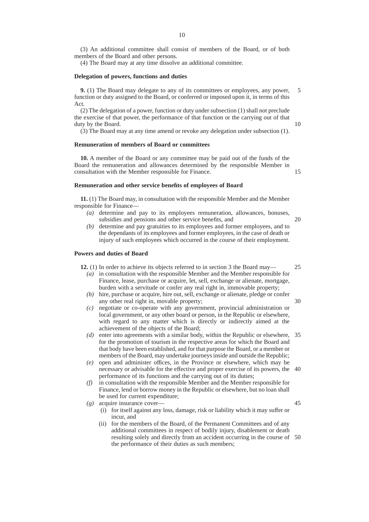(3) An additional committee shall consist of members of the Board, or of both members of the Board and other persons.

(4) The Board may at any time dissolve an additional committee.

#### **Delegation of powers, functions and duties**

**9.** (1) The Board may delegate to any of its committees or employees, any power, function or duty assigned to the Board, or conferred or imposed upon it, in terms of this Act. 5

(2) The delegation of a power, function or duty under subsection (1) shall not preclude the exercise of that power, the performance of that function or the carrying out of that duty by the Board.

(3) The Board may at any time amend or revoke any delegation under subsection (1).

#### **Remuneration of members of Board or committees**

**10.** A member of the Board or any committee may be paid out of the funds of the Board the remuneration and allowances determined by the responsible Member in consultation with the Member responsible for Finance.

#### **Remuneration and other service benefits of employees of Board**

**11.** (1) The Board may, in consultation with the responsible Member and the Member responsible for Finance—

- *(a)* determine and pay to its employees remuneration, allowances, bonuses, subsidies and pensions and other service benefits, and
- *(b)* determine and pay gratuities to its employees and former employees, and to the dependants of its employees and former employees, in the case of death or injury of such employees which occurred in the course of their employment.

### **Powers and duties of Board**

**12.** (1) In order to achieve its objects referred to in section 3 the Board may—

- *(a)* in consultation with the responsible Member and the Member responsible for Finance, lease, purchase or acquire, let, sell, exchange or alienate, mortgage, burden with a servitude or confer any real right in, immovable property;
- *(b)* hire, purchase or acquire, hire out, sell, exchange or alienate, pledge or confer any other real right in, movable property;
- *(c)* negotiate or co-operate with any government, provincial administration or local government, or any other board or person, in the Republic or elsewhere, with regard to any matter which is directly or indirectly aimed at the achievement of the objects of the Board;
- *(d)* enter into agreements with a similar body, within the Republic or elsewhere, 35 for the promotion of tourism in the respective areas for which the Board and that body have been established, and for that purpose the Board, or a member or members of the Board, may undertake journeys inside and outside the Republic;
- *(e)* open and administer offices, in the Province or elsewhere, which may be necessary or advisable for the effective and proper exercise of its powers, the 40 performance of its functions and the carrying out of its duties;
- *(f)* in consultation with the responsible Member and the Member responsible for Finance, lend or borrow money in the Republic or elsewhere, but no loan shall be used for current expenditure;
- *(g)* acquire insurance cover—
	- (i) for itself against any loss, damage, risk or liability which it may suffer or incur, and
	- (ii) for the members of the Board, of the Permanent Committees and of any additional committees in respect of bodily injury, disablement or death resulting solely and directly from an accident occurring in the course of 50the performance of their duties as such members;

25

10

15

20

30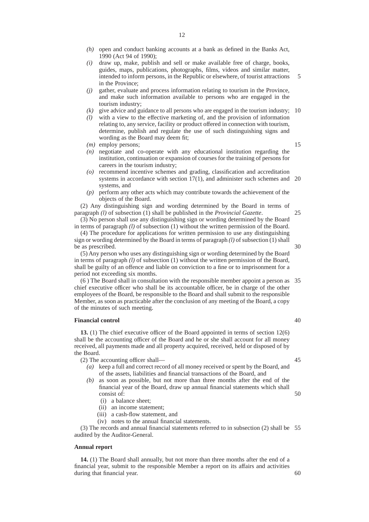- *(h)* open and conduct banking accounts at a bank as defined in the Banks Act, 1990 (Act 94 of 1990);
- *(i)* draw up, make, publish and sell or make available free of charge, books, guides, maps, publications, photographs, films, videos and similar matter, intended to inform persons, in the Republic or elsewhere, of tourist attractions in the Province; 5
- *(j)* gather, evaluate and process information relating to tourism in the Province, and make such information available to persons who are engaged in the tourism industry;
- $(k)$  give advice and guidance to all persons who are engaged in the tourism industry; 10
- *(l)* with a view to the effective marketing of, and the provision of information relating to, any service, facility or product offered in connection with tourism, determine, publish and regulate the use of such distinguishing signs and wording as the Board may deem fit;
- *(m)* employ persons;
- *(n)* negotiate and co-operate with any educational institution regarding the institution, continuation or expansion of courses for the training of persons for careers in the tourism industry;
- *(o)* recommend incentive schemes and grading, classification and accreditation systems in accordance with section 17(1), and administer such schemes and 20 systems, and
- *(p)* perform any other acts which may contribute towards the achievement of the objects of the Board.

(2) Any distinguishing sign and wording determined by the Board in terms of paragraph *(l)* of subsection (1) shall be published in the *Provincial Gazette*.

(3) No person shall use any distinguishing sign or wording determined by the Board in terms of paragraph *(l)* of subsection (1) without the written permission of the Board.

(4) The procedure for applications for written permission to use any distinguishing sign or wording determined by the Board in terms of paragraph *(l)* of subsection (1) shall be as prescribed.

(5) Any person who uses any distinguishing sign or wording determined by the Board in terms of paragraph *(l)* of subsection (1) without the written permission of the Board, shall be guilty of an offence and liable on conviction to a fine or to imprisonment for a period not exceeding six months.

(6 ) The Board shall in consultation with the responsible member appoint a person as 35 chief executive officer who shall be its accountable officer, be in charge of the other employees of the Board, be responsible to the Board and shall submit to the responsible Member, as soon as practicable after the conclusion of any meeting of the Board, a copy of the minutes of such meeting.

# **Financial control**

**13.** (1) The chief executive officer of the Board appointed in terms of section 12(6) shall be the accounting officer of the Board and he or she shall account for all money received, all payments made and all property acquired, received, held or disposed of by the Board.

(2) The accounting officer shall—

- *(a)* keep a full and correct record of all money received or spent by the Board, and of the assets, liabilities and financial transactions of the Board, and
- *(b)* as soon as possible, but not more than three months after the end of the financial year of the Board, draw up annual financial statements which shall consist of: 50
	- (i) a balance sheet;
	- (ii) an income statement;
	- (iii) a cash-flow statement, and
	- (iv) notes to the annual financial statements.

(3) The records and annual financial statements referred to in subsection (2) shall be 55 audited by the Auditor-General.

#### **Annual report**

**14.** (1) The Board shall annually, but not more than three months after the end of a financial year, submit to the responsible Member a report on its affairs and activities during that financial year.

40

45

15

25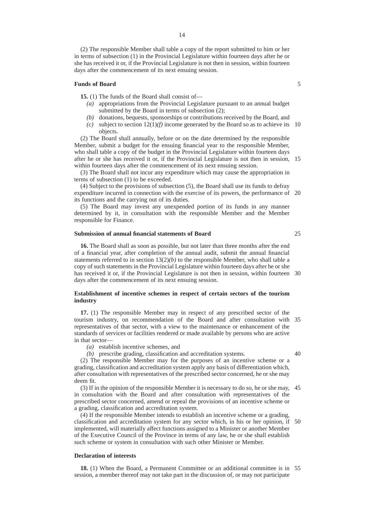(2) The responsible Member shall table a copy of the report submitted to him or her in terms of subsection (1) in the Provincial Legislature within fourteen days after he or she has received it or, if the Provincial Legislature is not then in session, within fourteen days after the commencement of its next ensuing session.

#### **Funds of Board**

**15.** (1) The funds of the Board shall consist of—

- *(a)* appropriations from the Provincial Legislature pursuant to an annual budget submitted by the Board in terms of subsection (2);
- *(b)* donations, bequests, sponsorships or contributions received by the Board, and
- $(c)$  subject to section  $12(1)(f)$  income generated by the Board so as to achieve its 10 objects.

(2) The Board shall annually, before or on the date determined by the responsible Member, submit a budget for the ensuing financial year to the responsible Member, who shall table a copy of the budget in the Provincial Legislature within fourteen days after he or she has received it or, if the Provincial Legislature is not then in session, 15 within fourteen days after the commencement of its next ensuing session.

(3) The Board shall not incur any expenditure which may cause the appropriation in terms of subsection (1) to be exceeded.

(4) Subject to the provisions of subsection (5), the Board shall use its funds to defray expenditure incurred in connection with the exercise of its powers, the performance of 20 its functions and the carrying out of its duties.

(5) The Board may invest any unexpended portion of its funds in any manner determined by it, in consultation with the responsible Member and the Member responsible for Finance.

# **Submission of annual financial statements of Board**

**16.** The Board shall as soon as possible, but not later than three months after the end of a financial year, after completion of the annual audit, submit the annual financial statements referred to in section  $13(2)(b)$  to the responsible Member, who shall table a copy of such statements in the Provincial Legislature within fourteen days after he or she has received it or, if the Provincial Legislature is not then in session, within fourteen 30 days after the commencement of its next ensuing session.

#### **Establishment of incentive schemes in respect of certain sectors of the tourism industry**

**17.** (1) The responsible Member may in respect of any prescribed sector of the tourism industry, on recommendation of the Board and after consultation with 35 representatives of that sector, with a view to the maintenance or enhancement of the standards of services or facilities rendered or made available by persons who are active in that sector—

*(a)* establish incentive schemes, and

*(b)* prescribe grading, classification and accreditation systems.

(2) The responsible Member may for the purposes of an incentive scheme or a grading, classification and accreditation system apply any basis of differentiation which, after consultation with representatives of the prescribed sector concerned, he or she may deem fit.

(3) If in the opinion of the responsible Member it is necessary to do so, he or she may, in consultation with the Board and after consultation with representatives of the prescribed sector concerned, amend or repeal the provisions of an incentive scheme or a grading, classification and accreditation system. 45

(4) If the responsible Member intends to establish an incentive scheme or a grading, classification and accreditation system for any sector which, in his or her opinion, if 50 implemented, will materially affect functions assigned to a Minister or another Member of the Executive Council of the Province in terms of any law, he or she shall establish such scheme or system in consultation with such other Minister or Member.

#### **Declaration of interests**

**18.** (1) When the Board, a Permanent Committee or an additional committee is in 55 session, a member thereof may not take part in the discussion of, or may not participate

5

25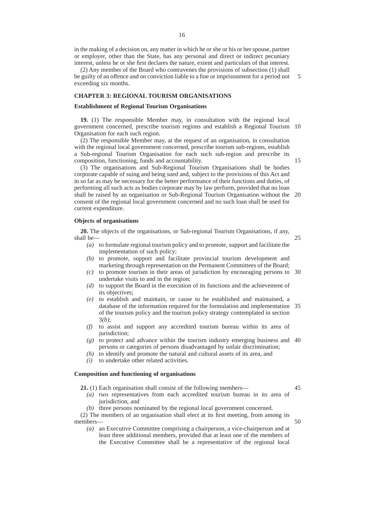(2) Any member of the Board who contravenes the provisions of subsection (1) shall be guilty of an offence and on conviction liable to a fine or imprisonment for a period not exceeding six months. 5

# **CHAPTER 3: REGIONAL TOURISM ORGANISATIONS**

#### **Establishment of Regional Tourism Organisations**

**19.** (1) The responsible Member may, in consultation with the regional local government concerned, prescribe tourism regions and establish a Regional Tourism 10 Organisation for each such region.

(2) The responsible Member may, at the request of an organisation, in consultation with the regional local government concerned, prescribe tourism sub-regions, establish a Sub-regional Tourism Organisation for each such sub-region and prescribe its composition, functioning, funds and accountability.

15

(3) The organisations and Sub-Regional Tourism Organisations shall be bodies corporate capable of suing and being sued and, subject to the provisions of this Act and in so far as may be necessary for the better performance of their functions and duties, of performing all such acts as bodies corporate may by law perform, provided that no loan shall be raised by an organisation or Sub-Regional Tourism Organisation without the consent of the regional local government concerned and no such loan shall be used for current expenditure.  $20$ 

#### **Objects of organisations**

**20.** The objects of the organisations, or Sub-regional Tourism Organisations, if any, shall be— 25

- *(a)* to formulate regional tourism policy and to promote, support and facilitate the implementation of such policy;
- *(b)* to promote, support and facilitate provincial tourism development and marketing through representation on the Permanent Committees of the Board;
- *(c)* to promote tourism in their areas of jurisdiction by encouraging persons to 30 undertake visits to and in the region;
- *(d)* to support the Board in the execution of its functions and the achievement of its objectives;
- *(e)* to establish and maintain, or cause to be established and maintained, a database of the information required for the formulation and implementation 35 of the tourism policy and the tourism policy strategy contemplated in section 3*(b)*;
- *(f)* to assist and support any accredited tourism bureau within its area of jurisdiction;
- *(g)* to protect and advance within the tourism industry emerging business and 40 persons or categories of persons disadvantaged by unfair discrimination;
- *(h)* to identify and promote the natural and cultural assets of its area, and
- *(i)* to undertake other related activities.

#### **Composition and functioning of organisations**

**21.** (1) Each organisation shall consist of the following members— 45

- *(a)* two representatives from each accredited tourism bureau in its area of jurisdiction, and
- *(b)* three persons nominated by the regional local government concerned.

(2) The members of an organisation shall elect at its first meeting, from among its members— 50

*(a)* an Executive Committee comprising a chairperson, a vice-chairperson and at least three additional members, provided that at least one of the members of the Executive Committee shall be a representative of the regional local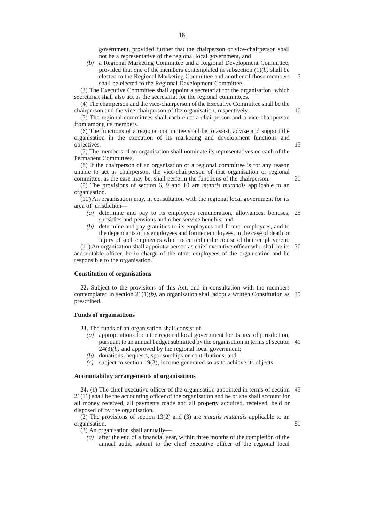government, provided further that the chairperson or vice-chairperson shall not be a representative of the regional local government, and

*(b)* a Regional Marketing Committee and a Regional Development Committee, provided that one of the members contemplated in subsection (1)*(b)* shall be elected to the Regional Marketing Committee and another of those members shall be elected to the Regional Development Committee. 5

(3) The Executive Committee shall appoint a secretariat for the organisation, which secretariat shall also act as the secretariat for the regional committees.

(4) The chairperson and the vice-chairperson of the Executive Committee shall be the chairperson and the vice-chairperson of the organisation, respectively.

(5) The regional committees shall each elect a chairperson and a vice-chairperson from among its members.

(6) The functions of a regional committee shall be to assist, advise and support the organisation in the execution of its marketing and development functions and objectives.

(7) The members of an organisation shall nominate its representatives on each of the Permanent Committees.

(8) If the chairperson of an organisation or a regional committee is for any reason unable to act as chairperson, the vice-chairperson of that organisation or regional committee, as the case may be, shall perform the functions of the chairperson.

(9) The provisions of section 6, 9 and 10 are *mutatis mutandis* applicable to an organisation.

(10) An organisation may, in consultation with the regional local government for its area of jurisdiction—

- *(a)* determine and pay to its employees remuneration, allowances, bonuses, 25 subsidies and pensions and other service benefits, and
- *(b)* determine and pay gratuities to its employees and former employees, and to the dependants of its employees and former employees, in the case of death or injury of such employees which occurred in the course of their employment.

(11) An organisation shall appoint a person as chief executive officer who shall be its 30 accountable officer, be in charge of the other employees of the organisation and be responsible to the organisation.

#### **Constitution of organisations**

**22.** Subject to the provisions of this Act, and in consultation with the members contemplated in section  $21(1)(b)$ , an organisation shall adopt a written Constitution as 35 prescribed.

## **Funds of organisations**

**23.** The funds of an organisation shall consist of—

- *(a)* appropriations from the regional local government for its area of jurisdiction, pursuant to an annual budget submitted by the organisation in terms of section 40
- $24(3)(b)$  and approved by the regional local government; *(b)* donations, bequests, sponsorships or contributions, and
- 
- *(c)* subject to section 19(3), income generated so as to achieve its objects.

# **Accountability arrangements of organisations**

**24.** (1) The chief executive officer of the organisation appointed in terms of section 45 21(11) shall be the accounting officer of the organisation and he or she shall account for all money received, all payments made and all property acquired, received, held or disposed of by the organisation.

(2) The provisions of section 13(2) and (3) are *mutatis mutandis* applicable to an organisation. 50

(3) An organisation shall annually—

*(a)* after the end of a financial year, within three months of the completion of the annual audit, submit to the chief executive officer of the regional local

15

20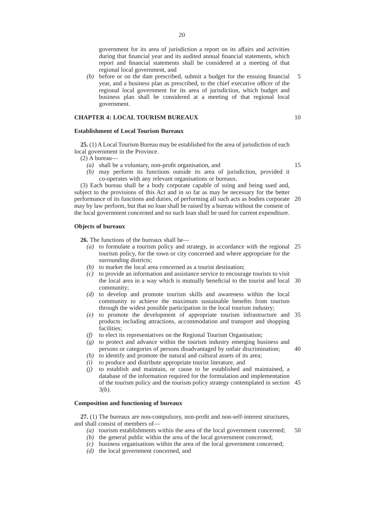government for its area of jurisdiction a report on its affairs and activities during that financial year and its audited annual financial statements, which report and financial statements shall be considered at a meeting of that regional local government, and

*(b)* before or on the date prescribed, submit a budget for the ensuing financial year, and a business plan as prescribed, to the chief executive officer of the regional local government for its area of jurisdiction, which budget and business plan shall be considered at a meeting of that regional local government. 5

# **CHAPTER 4: LOCAL TOURISM BUREAUX**

# **Establishment of Local Tourism Bureaux**

**25.** (1) A Local Tourism Bureau may be established for the area of jurisdiction of each local government in the Province.

- (2) A bureau—
	- *(a)* shall be a voluntary, non-profit organisation, and

15

10

*(b)* may perform its functions outside its area of jurisdiction, provided it co-operates with any relevant organisations or bureaux.

(3) Each bureau shall be a body corporate capable of suing and being sued and, subject to the provisions of this Act and in so far as may be necessary for the better performance of its functions and duties, of performing all such acts as bodies corporate 20 may by law perform, but that no loan shall be raised by a bureau without the consent of the local government concerned and no such loan shall be used for current expenditure.

#### **Objects of bureaux**

**26.** The functions of the bureaux shall be—

- *(a)* to formulate a tourism policy and strategy, in accordance with the regional 25 tourism policy, for the town or city concerned and where appropriate for the surrounding districts;
- *(b)* to market the local area concerned as a tourist destination;
- *(c)* to provide an information and assistance service to encourage tourists to visit the local area in a way which is mutually beneficial to the tourist and local 30 community;
- *(d)* to develop and promote tourism skills and awareness within the local community to achieve the maximum sustainable benefits from tourism through the widest possible participation in the local tourism industry;
- *(e)* to promote the development of appropriate tourism infrastructure and 35 products including attractions, accommodation and transport and shopping facilities;
- *(f)* to elect its representatives on the Regional Tourism Organisation;
- *(g)* to protect and advance within the tourism industry emerging business and persons or categories of persons disadvantaged by unfair discrimination; 40
- *(h)* to identify and promote the natural and cultural assets of its area;
- *(i)* to produce and distribute appropriate tourist literature, and
- *(j)* to establish and maintain, or cause to be established and maintained, a database of the information required for the formulation and implementation of the tourism policy and the tourism policy strategy contemplated in section 45 3*(b)*.

# **Composition and functioning of bureaux**

**27.** (1) The bureaux are non-compulsory, non-profit and non-self-interest structures, and shall consist of members of—

- *(a)* tourism establishments within the area of the local government concerned; 50
- *(b)* the general public within the area of the local government concerned;
- *(c)* business organisations within the area of the local government concerned;
- *(d)* the local government concerned, and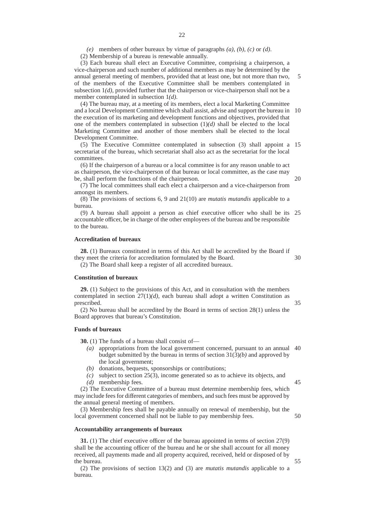*(e)* members of other bureaux by virtue of paragraphs *(a)*, *(b)*, *(c)* or *(d)*.

(2) Membership of a bureau is renewable annually.

(3) Each bureau shall elect an Executive Committee, comprising a chairperson, a vice-chairperson and such number of additional members as may be determined by the annual general meeting of members, provided that at least one, but not more than two, of the members of the Executive Committee shall be members contemplated in subsection 1*(d)*, provided further that the chairperson or vice-chairperson shall not be a member contemplated in subsection 1*(d)*.

(4) The bureau may, at a meeting of its members, elect a local Marketing Committee and a local Development Committee which shall assist, advise and support the bureau in the execution of its marketing and development functions and objectives, provided that one of the members contemplated in subsection  $(1)(d)$  shall be elected to the local Marketing Committee and another of those members shall be elected to the local Development Committee. 10

(5) The Executive Committee contemplated in subsection (3) shall appoint a 15 secretariat of the bureau, which secretariat shall also act as the secretariat for the local committees.

(6) If the chairperson of a bureau or a local committee is for any reason unable to act as chairperson, the vice-chairperson of that bureau or local committee, as the case may be, shall perform the functions of the chairperson.

(7) The local committees shall each elect a chairperson and a vice-chairperson from amongst its members.

(8) The provisions of sections 6, 9 and 21(10) are *mutatis mutandis* applicable to a bureau.

(9) A bureau shall appoint a person as chief executive officer who shall be its 25 accountable officer, be in charge of the other employees of the bureau and be responsible to the bureau.

#### **Accreditation of bureaux**

**28.** (1) Bureaux constituted in terms of this Act shall be accredited by the Board if they meet the criteria for accreditation formulated by the Board. (2) The Board shall keep a register of all accredited bureaux. 30

**Constitution of bureaux**

**29.** (1) Subject to the provisions of this Act, and in consultation with the members contemplated in section 27(1)*(d)*, each bureau shall adopt a written Constitution as prescribed.

(2) No bureau shall be accredited by the Board in terms of section 28(1) unless the Board approves that bureau's Constitution.

# **Funds of bureaux**

**30.** (1) The funds of a bureau shall consist of—

- *(a)* appropriations from the local government concerned, pursuant to an annual 40 budget submitted by the bureau in terms of section 31(3)*(b)* and approved by the local government;
- *(b)* donations, bequests, sponsorships or contributions;
- *(c)* subject to section 25(3), income generated so as to achieve its objects, and *(d)* membership fees.

(2) The Executive Committee of a bureau must determine membership fees, which may include fees for different categories of members, and such fees must be approved by the annual general meeting of members.

(3) Membership fees shall be payable annually on renewal of membership, but the local government concerned shall not be liable to pay membership fees.

#### **Accountability arrangements of bureaux**

**31.** (1) The chief executive officer of the bureau appointed in terms of section 27(9) shall be the accounting officer of the bureau and he or she shall account for all money received, all payments made and all property acquired, received, held or disposed of by the bureau.

(2) The provisions of section 13(2) and (3) are *mutatis mutandis* applicable to a bureau.

20

5

35

45